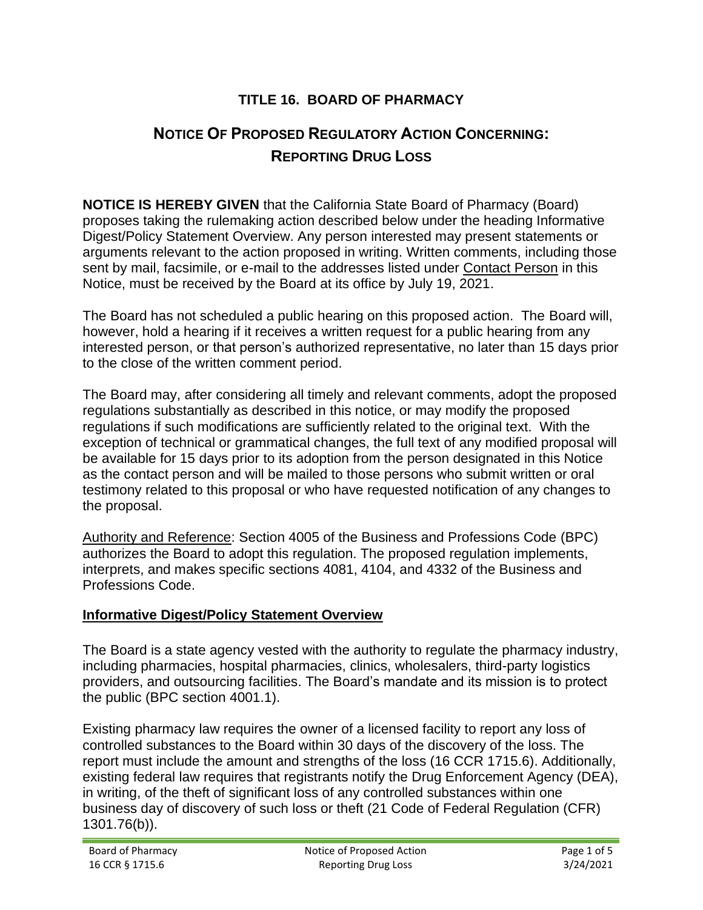# **TITLE 16. BOARD OF PHARMACY**

# **NOTICE OF PROPOSED REGULATORY ACTION CONCERNING: REPORTING DRUG LOSS**

**NOTICE IS HEREBY GIVEN** that the California State Board of Pharmacy (Board) proposes taking the rulemaking action described below under the heading Informative Digest/Policy Statement Overview. Any person interested may present statements or arguments relevant to the action proposed in writing. Written comments, including those sent by mail, facsimile, or e-mail to the addresses listed under Contact Person in this Notice, must be received by the Board at its office by July 19, 2021.

The Board has not scheduled a public hearing on this proposed action. The Board will, however, hold a hearing if it receives a written request for a public hearing from any interested person, or that person's authorized representative, no later than 15 days prior to the close of the written comment period.

The Board may, after considering all timely and relevant comments, adopt the proposed regulations substantially as described in this notice, or may modify the proposed regulations if such modifications are sufficiently related to the original text. With the exception of technical or grammatical changes, the full text of any modified proposal will be available for 15 days prior to its adoption from the person designated in this Notice as the contact person and will be mailed to those persons who submit written or oral testimony related to this proposal or who have requested notification of any changes to the proposal.

Authority and Reference: Section 4005 of the Business and Professions Code (BPC) authorizes the Board to adopt this regulation. The proposed regulation implements, interprets, and makes specific sections 4081, 4104, and 4332 of the Business and Professions Code.

## **Informative Digest/Policy Statement Overview**

The Board is a state agency vested with the authority to regulate the pharmacy industry, including pharmacies, hospital pharmacies, clinics, wholesalers, third-party logistics providers, and outsourcing facilities. The Board's mandate and its mission is to protect the public (BPC section 4001.1).

Existing pharmacy law requires the owner of a licensed facility to report any loss of controlled substances to the Board within 30 days of the discovery of the loss. The report must include the amount and strengths of the loss (16 CCR 1715.6). Additionally, existing federal law requires that registrants notify the Drug Enforcement Agency (DEA), in writing, of the theft of significant loss of any controlled substances within one business day of discovery of such loss or theft (21 Code of Federal Regulation (CFR) 1301.76(b)).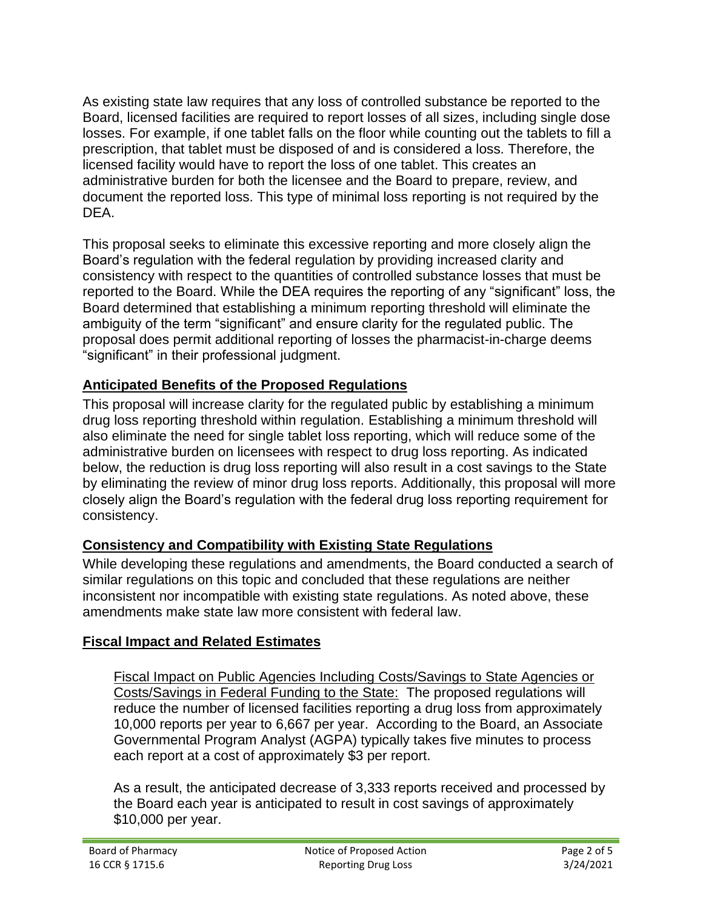As existing state law requires that any loss of controlled substance be reported to the Board, licensed facilities are required to report losses of all sizes, including single dose losses. For example, if one tablet falls on the floor while counting out the tablets to fill a prescription, that tablet must be disposed of and is considered a loss. Therefore, the licensed facility would have to report the loss of one tablet. This creates an administrative burden for both the licensee and the Board to prepare, review, and document the reported loss. This type of minimal loss reporting is not required by the DEA.

This proposal seeks to eliminate this excessive reporting and more closely align the Board's regulation with the federal regulation by providing increased clarity and consistency with respect to the quantities of controlled substance losses that must be reported to the Board. While the DEA requires the reporting of any "significant" loss, the Board determined that establishing a minimum reporting threshold will eliminate the ambiguity of the term "significant" and ensure clarity for the regulated public. The proposal does permit additional reporting of losses the pharmacist-in-charge deems "significant" in their professional judgment.

# **Anticipated Benefits of the Proposed Regulations**

This proposal will increase clarity for the regulated public by establishing a minimum drug loss reporting threshold within regulation. Establishing a minimum threshold will also eliminate the need for single tablet loss reporting, which will reduce some of the administrative burden on licensees with respect to drug loss reporting. As indicated below, the reduction is drug loss reporting will also result in a cost savings to the State by eliminating the review of minor drug loss reports. Additionally, this proposal will more closely align the Board's regulation with the federal drug loss reporting requirement for consistency.

# **Consistency and Compatibility with Existing State Regulations**

While developing these regulations and amendments, the Board conducted a search of similar regulations on this topic and concluded that these regulations are neither inconsistent nor incompatible with existing state regulations. As noted above, these amendments make state law more consistent with federal law.

## **Fiscal Impact and Related Estimates**

Fiscal Impact on Public Agencies Including Costs/Savings to State Agencies or Costs/Savings in Federal Funding to the State: The proposed regulations will reduce the number of licensed facilities reporting a drug loss from approximately 10,000 reports per year to 6,667 per year. According to the Board, an Associate Governmental Program Analyst (AGPA) typically takes five minutes to process each report at a cost of approximately \$3 per report.

As a result, the anticipated decrease of 3,333 reports received and processed by the Board each year is anticipated to result in cost savings of approximately \$10,000 per year.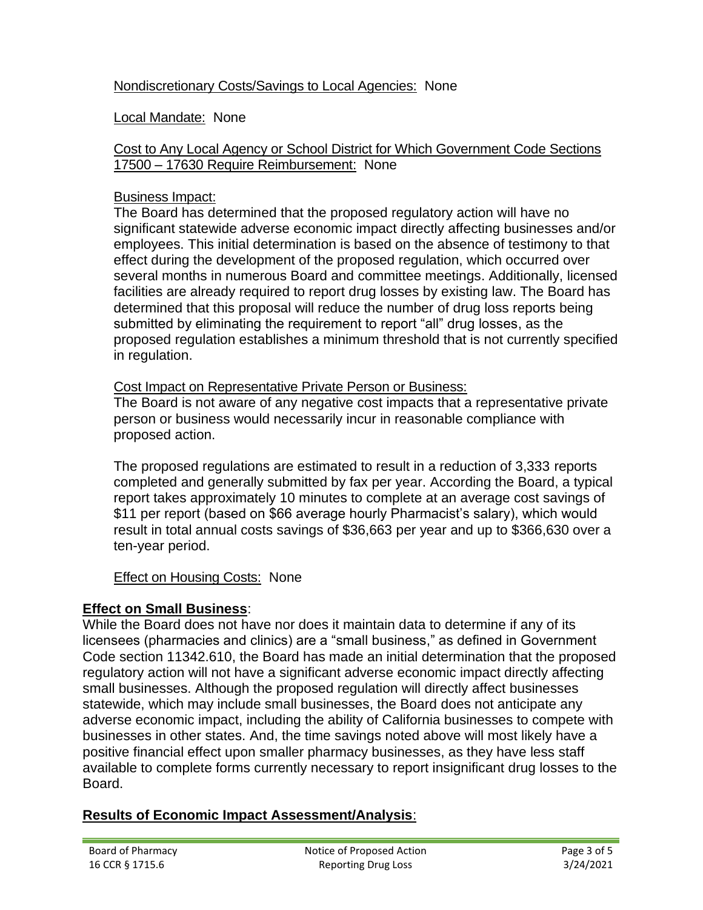## Nondiscretionary Costs/Savings to Local Agencies: None

#### Local Mandate: None

#### Cost to Any Local Agency or School District for Which Government Code Sections 17500 – 17630 Require Reimbursement: None

#### Business Impact:

The Board has determined that the proposed regulatory action will have no significant statewide adverse economic impact directly affecting businesses and/or employees. This initial determination is based on the absence of testimony to that effect during the development of the proposed regulation, which occurred over several months in numerous Board and committee meetings. Additionally, licensed facilities are already required to report drug losses by existing law. The Board has determined that this proposal will reduce the number of drug loss reports being submitted by eliminating the requirement to report "all" drug losses, as the proposed regulation establishes a minimum threshold that is not currently specified in regulation.

#### Cost Impact on Representative Private Person or Business:

The Board is not aware of any negative cost impacts that a representative private person or business would necessarily incur in reasonable compliance with proposed action.

The proposed regulations are estimated to result in a reduction of 3,333 reports completed and generally submitted by fax per year. According the Board, a typical report takes approximately 10 minutes to complete at an average cost savings of \$11 per report (based on \$66 average hourly Pharmacist's salary), which would result in total annual costs savings of \$36,663 per year and up to \$366,630 over a ten-year period.

## Effect on Housing Costs: None

## **Effect on Small Business**:

While the Board does not have nor does it maintain data to determine if any of its licensees (pharmacies and clinics) are a "small business," as defined in Government Code section 11342.610, the Board has made an initial determination that the proposed regulatory action will not have a significant adverse economic impact directly affecting small businesses. Although the proposed regulation will directly affect businesses statewide, which may include small businesses, the Board does not anticipate any adverse economic impact, including the ability of California businesses to compete with businesses in other states. And, the time savings noted above will most likely have a positive financial effect upon smaller pharmacy businesses, as they have less staff available to complete forms currently necessary to report insignificant drug losses to the Board.

## **Results of Economic Impact Assessment/Analysis**: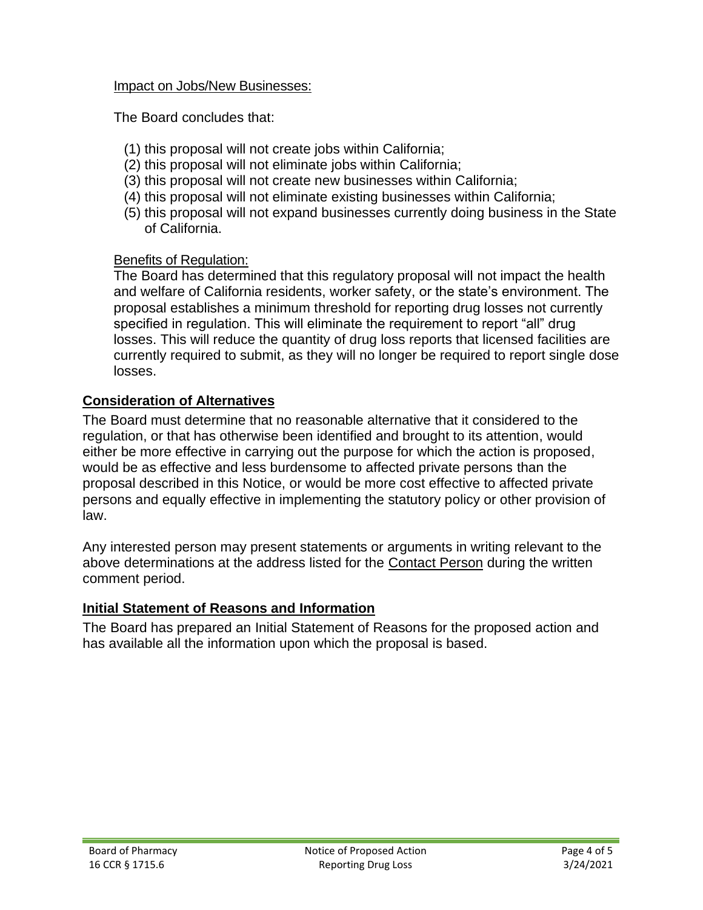#### Impact on Jobs/New Businesses:

The Board concludes that:

- (1) this proposal will not create jobs within California;
- (2) this proposal will not eliminate jobs within California;
- (3) this proposal will not create new businesses within California;
- (4) this proposal will not eliminate existing businesses within California;
- (5) this proposal will not expand businesses currently doing business in the State of California.

## Benefits of Regulation:

The Board has determined that this regulatory proposal will not impact the health and welfare of California residents, worker safety, or the state's environment. The proposal establishes a minimum threshold for reporting drug losses not currently specified in regulation. This will eliminate the requirement to report "all" drug losses. This will reduce the quantity of drug loss reports that licensed facilities are currently required to submit, as they will no longer be required to report single dose losses.

# **Consideration of Alternatives**

The Board must determine that no reasonable alternative that it considered to the regulation, or that has otherwise been identified and brought to its attention, would either be more effective in carrying out the purpose for which the action is proposed, would be as effective and less burdensome to affected private persons than the proposal described in this Notice, or would be more cost effective to affected private persons and equally effective in implementing the statutory policy or other provision of law.

Any interested person may present statements or arguments in writing relevant to the above determinations at the address listed for the Contact Person during the written comment period.

# **Initial Statement of Reasons and Information**

The Board has prepared an Initial Statement of Reasons for the proposed action and has available all the information upon which the proposal is based.